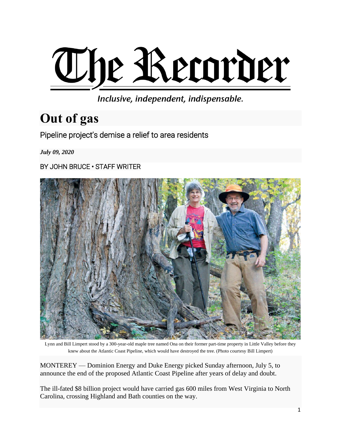

Inclusive, independent, indispensable.

# **Out of gas**

Pipeline project's demise a relief to area residents

*July 09, 2020*

BY JOHN BRUCE • STAFF WRITER



Lynn and Bill Limpert stood by a 300-year-old maple tree named Ona on their former part-time property in Little Valley before they knew about the Atlantic Coast Pipeline, which would have destroyed the tree. (Photo courtesy Bill Limpert)

MONTEREY — Dominion Energy and Duke Energy picked Sunday afternoon, July 5, to announce the end of the proposed Atlantic Coast Pipeline after years of delay and doubt.

The ill-fated \$8 billion project would have carried gas 600 miles from West Virginia to North Carolina, crossing Highland and Bath counties on the way.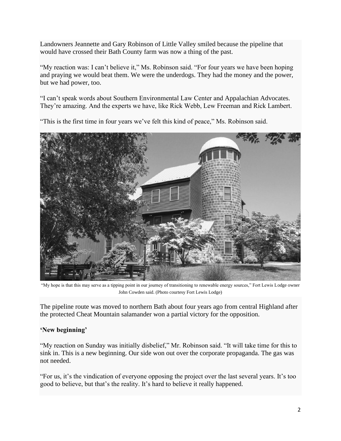Landowners Jeannette and Gary Robinson of Little Valley smiled because the pipeline that would have crossed their Bath County farm was now a thing of the past.

"My reaction was: I can't believe it," Ms. Robinson said. "For four years we have been hoping and praying we would beat them. We were the underdogs. They had the money and the power, but we had power, too.

"I can't speak words about Southern Environmental Law Center and Appalachian Advocates. They're amazing. And the experts we have, like Rick Webb, Lew Freeman and Rick Lambert.

"This is the first time in four years we've felt this kind of peace," Ms. Robinson said.



"My hope is that this may serve as a tipping point in our journey of transitioning to renewable energy sources," Fort Lewis Lodge owner John Cowden said. (Photo courtesy Fort Lewis Lodge)

The pipeline route was moved to northern Bath about four years ago from central Highland after the protected Cheat Mountain salamander won a partial victory for the opposition.

#### **'New beginning'**

"My reaction on Sunday was initially disbelief," Mr. Robinson said. "It will take time for this to sink in. This is a new beginning. Our side won out over the corporate propaganda. The gas was not needed.

"For us, it's the vindication of everyone opposing the project over the last several years. It's too good to believe, but that's the reality. It's hard to believe it really happened.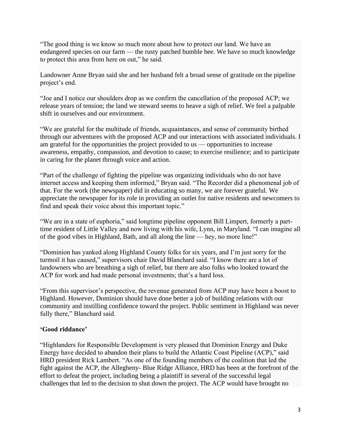"The good thing is we know so much more about how to protect our land. We have an endangered species on our farm — the rusty patched bumble bee. We have so much knowledge to protect this area from here on out," he said.

Landowner Anne Bryan said she and her husband felt a broad sense of gratitude on the pipeline project's end.

"Joe and I notice our shoulders drop as we confirm the cancellation of the proposed ACP; we release years of tension; the land we steward seems to heave a sigh of relief. We feel a palpable shift in ourselves and our environment.

"We are grateful for the multitude of friends, acquaintances, and sense of community birthed through our adventures with the proposed ACP and our interactions with associated individuals. I am grateful for the opportunities the project provided to us — opportunities to increase awareness, empathy, compassion, and devotion to cause; to exercise resilience; and to participate in caring for the planet through voice and action.

"Part of the challenge of fighting the pipeline was organizing individuals who do not have internet access and keeping them informed," Bryan said. "The Recorder did a phenomenal job of that. For the work (the newspaper) did in educating so many, we are forever grateful. We appreciate the newspaper for its role in providing an outlet for native residents and newcomers to find and speak their voice about this important topic."

"We are in a state of euphoria," said longtime pipeline opponent Bill Limpert, formerly a parttime resident of Little Valley and now living with his wife, Lynn, in Maryland. "I can imagine all of the good vibes in Highland, Bath, and all along the line — hey, no more line!"

"Dominion has yanked along Highland County folks for six years, and I'm just sorry for the turmoil it has caused," supervisors chair David Blanchard said. "I know there are a lot of landowners who are breathing a sigh of relief, but there are also folks who looked toward the ACP for work and had made personal investments; that's a hard loss.

"From this supervisor's perspective, the revenue generated from ACP may have been a boost to Highland. However, Dominion should have done better a job of building relations with our community and instilling confidence toward the project. Public sentiment in Highland was never fully there," Blanchard said.

## **'Good riddance'**

"Highlanders for Responsible Development is very pleased that Dominion Energy and Duke Energy have decided to abandon their plans to build the Atlantic Coast Pipeline (ACP)," said HRD president Rick Lambert. "As one of the founding members of the coalition that led the fight against the ACP, the Allegheny- Blue Ridge Alliance, HRD has been at the forefront of the effort to defeat the project, including being a plaintiff in several of the successful legal challenges that led to the decision to shut down the project. The ACP would have brought no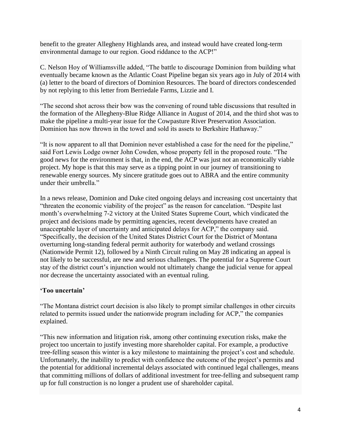benefit to the greater Allegheny Highlands area, and instead would have created long-term environmental damage to our region. Good riddance to the ACP!"

C. Nelson Hoy of Williamsville added, "The battle to discourage Dominion from building what eventually became known as the Atlantic Coast Pipeline began six years ago in July of 2014 with (a) letter to the board of directors of Dominion Resources. The board of directors condescended by not replying to this letter from Berriedale Farms, Lizzie and I.

"The second shot across their bow was the convening of round table discussions that resulted in the formation of the Allegheny-Blue Ridge Alliance in August of 2014, and the third shot was to make the pipeline a multi-year issue for the Cowpasture River Preservation Association. Dominion has now thrown in the towel and sold its assets to Berkshire Hathaway."

"It is now apparent to all that Dominion never established a case for the need for the pipeline," said Fort Lewis Lodge owner John Cowden, whose property fell in the proposed route. "The good news for the environment is that, in the end, the ACP was just not an economically viable project. My hope is that this may serve as a tipping point in our journey of transitioning to renewable energy sources. My sincere gratitude goes out to ABRA and the entire community under their umbrella."

In a news release, Dominion and Duke cited ongoing delays and increasing cost uncertainty that "threaten the economic viability of the project" as the reason for cancelation. "Despite last month's overwhelming 7-2 victory at the United States Supreme Court, which vindicated the project and decisions made by permitting agencies, recent developments have created an unacceptable layer of uncertainty and anticipated delays for ACP," the company said. "Specifically, the decision of the United States District Court for the District of Montana overturning long-standing federal permit authority for waterbody and wetland crossings (Nationwide Permit 12), followed by a Ninth Circuit ruling on May 28 indicating an appeal is not likely to be successful, are new and serious challenges. The potential for a Supreme Court stay of the district court's injunction would not ultimately change the judicial venue for appeal nor decrease the uncertainty associated with an eventual ruling.

## **'Too uncertain'**

"The Montana district court decision is also likely to prompt similar challenges in other circuits related to permits issued under the nationwide program including for ACP," the companies explained.

"This new information and litigation risk, among other continuing execution risks, make the project too uncertain to justify investing more shareholder capital. For example, a productive tree-felling season this winter is a key milestone to maintaining the project's cost and schedule. Unfortunately, the inability to predict with confidence the outcome of the project's permits and the potential for additional incremental delays associated with continued legal challenges, means that committing millions of dollars of additional investment for tree-felling and subsequent ramp up for full construction is no longer a prudent use of shareholder capital.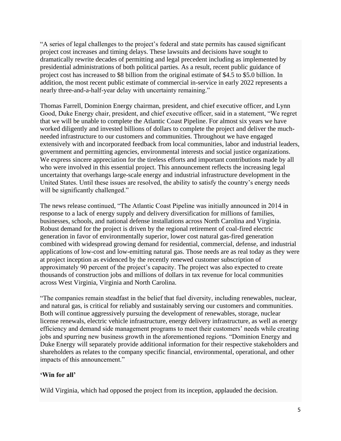"A series of legal challenges to the project's federal and state permits has caused significant project cost increases and timing delays. These lawsuits and decisions have sought to dramatically rewrite decades of permitting and legal precedent including as implemented by presidential administrations of both political parties. As a result, recent public guidance of project cost has increased to \$8 billion from the original estimate of \$4.5 to \$5.0 billion. In addition, the most recent public estimate of commercial in-service in early 2022 represents a nearly three-and-a-half-year delay with uncertainty remaining."

Thomas Farrell, Dominion Energy chairman, president, and chief executive officer, and Lynn Good, Duke Energy chair, president, and chief executive officer, said in a statement, "We regret that we will be unable to complete the Atlantic Coast Pipeline. For almost six years we have worked diligently and invested billions of dollars to complete the project and deliver the muchneeded infrastructure to our customers and communities. Throughout we have engaged extensively with and incorporated feedback from local communities, labor and industrial leaders, government and permitting agencies, environmental interests and social justice organizations. We express sincere appreciation for the tireless efforts and important contributions made by all who were involved in this essential project. This announcement reflects the increasing legal uncertainty that overhangs large-scale energy and industrial infrastructure development in the United States. Until these issues are resolved, the ability to satisfy the country's energy needs will be significantly challenged."

The news release continued, "The Atlantic Coast Pipeline was initially announced in 2014 in response to a lack of energy supply and delivery diversification for millions of families, businesses, schools, and national defense installations across North Carolina and Virginia. Robust demand for the project is driven by the regional retirement of coal-fired electric generation in favor of environmentally superior, lower cost natural gas-fired generation combined with widespread growing demand for residential, commercial, defense, and industrial applications of low-cost and low-emitting natural gas. Those needs are as real today as they were at project inception as evidenced by the recently renewed customer subscription of approximately 90 percent of the project's capacity. The project was also expected to create thousands of construction jobs and millions of dollars in tax revenue for local communities across West Virginia, Virginia and North Carolina.

"The companies remain steadfast in the belief that fuel diversity, including renewables, nuclear, and natural gas, is critical for reliably and sustainably serving our customers and communities. Both will continue aggressively pursuing the development of renewables, storage, nuclear license renewals, electric vehicle infrastructure, energy delivery infrastructure, as well as energy efficiency and demand side management programs to meet their customers' needs while creating jobs and spurring new business growth in the aforementioned regions. "Dominion Energy and Duke Energy will separately provide additional information for their respective stakeholders and shareholders as relates to the company specific financial, environmental, operational, and other impacts of this announcement."

#### **'Win for all'**

Wild Virginia, which had opposed the project from its inception, applauded the decision.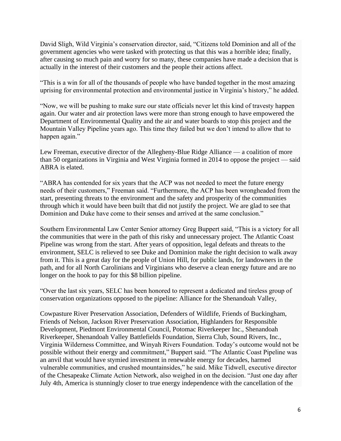David Sligh, Wild Virginia's conservation director, said, "Citizens told Dominion and all of the government agencies who were tasked with protecting us that this was a horrible idea; finally, after causing so much pain and worry for so many, these companies have made a decision that is actually in the interest of their customers and the people their actions affect.

"This is a win for all of the thousands of people who have banded together in the most amazing uprising for environmental protection and environmental justice in Virginia's history," he added.

"Now, we will be pushing to make sure our state officials never let this kind of travesty happen again. Our water and air protection laws were more than strong enough to have empowered the Department of Environmental Quality and the air and water boards to stop this project and the Mountain Valley Pipeline years ago. This time they failed but we don't intend to allow that to happen again."

Lew Freeman, executive director of the Allegheny-Blue Ridge Alliance — a coalition of more than 50 organizations in Virginia and West Virginia formed in 2014 to oppose the project — said ABRA is elated.

"ABRA has contended for six years that the ACP was not needed to meet the future energy needs of their customers," Freeman said. "Furthermore, the ACP has been wrongheaded from the start, presenting threats to the environment and the safety and prosperity of the communities through which it would have been built that did not justify the project. We are glad to see that Dominion and Duke have come to their senses and arrived at the same conclusion."

Southern Environmental Law Center Senior attorney Greg Buppert said, "This is a victory for all the communities that were in the path of this risky and unnecessary project. The Atlantic Coast Pipeline was wrong from the start. After years of opposition, legal defeats and threats to the environment, SELC is relieved to see Duke and Dominion make the right decision to walk away from it. This is a great day for the people of Union Hill, for public lands, for landowners in the path, and for all North Carolinians and Virginians who deserve a clean energy future and are no longer on the hook to pay for this \$8 billion pipeline.

"Over the last six years, SELC has been honored to represent a dedicated and tireless group of conservation organizations opposed to the pipeline: Alliance for the Shenandoah Valley,

Cowpasture River Preservation Association, Defenders of Wildlife, Friends of Buckingham, Friends of Nelson, Jackson River Preservation Association, Highlanders for Responsible Development, Piedmont Environmental Council, Potomac Riverkeeper Inc., Shenandoah Riverkeeper, Shenandoah Valley Battlefields Foundation, Sierra Club, Sound Rivers, Inc., Virginia Wilderness Committee, and Winyah Rivers Foundation. Today's outcome would not be possible without their energy and commitment," Buppert said. "The Atlantic Coast Pipeline was an anvil that would have stymied investment in renewable energy for decades, harmed vulnerable communities, and crushed mountainsides," he said. Mike Tidwell, executive director of the Chesapeake Climate Action Network, also weighed in on the decision. "Just one day after July 4th, America is stunningly closer to true energy independence with the cancellation of the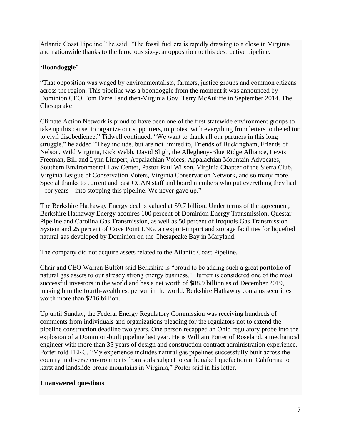Atlantic Coast Pipeline," he said. "The fossil fuel era is rapidly drawing to a close in Virginia and nationwide thanks to the ferocious six-year opposition to this destructive pipeline.

# **'Boondoggle'**

"That opposition was waged by environmentalists, farmers, justice groups and common citizens across the region. This pipeline was a boondoggle from the moment it was announced by Dominion CEO Tom Farrell and then-Virginia Gov. Terry McAuliffe in September 2014. The Chesapeake

Climate Action Network is proud to have been one of the first statewide environment groups to take up this cause, to organize our supporters, to protest with everything from letters to the editor to civil disobedience," Tidwell continued. "We want to thank all our partners in this long struggle," he added "They include, but are not limited to, Friends of Buckingham, Friends of Nelson, Wild Virginia, Rick Webb, David Sligh, the Allegheny-Blue Ridge Alliance, Lewis Freeman, Bill and Lynn Limpert, Appalachian Voices, Appalachian Mountain Advocates, Southern Environmental Law Center, Pastor Paul Wilson, Virginia Chapter of the Sierra Club, Virginia League of Conservation Voters, Virginia Conservation Network, and so many more. Special thanks to current and past CCAN staff and board members who put everything they had – for years – into stopping this pipeline. We never gave up."

The Berkshire Hathaway Energy deal is valued at \$9.7 billion. Under terms of the agreement, Berkshire Hathaway Energy acquires 100 percent of Dominion Energy Transmission, Questar Pipeline and Carolina Gas Transmission, as well as 50 percent of Iroquois Gas Transmission System and 25 percent of Cove Point LNG, an export-import and storage facilities for liquefied natural gas developed by Dominion on the Chesapeake Bay in Maryland.

The company did not acquire assets related to the Atlantic Coast Pipeline.

Chair and CEO Warren Buffett said Berkshire is "proud to be adding such a great portfolio of natural gas assets to our already strong energy business." Buffett is considered one of the most successful investors in the world and has a net worth of \$88.9 billion as of December 2019, making him the fourth-wealthiest person in the world. Berkshire Hathaway contains securities worth more than \$216 billion.

Up until Sunday, the Federal Energy Regulatory Commission was receiving hundreds of comments from individuals and organizations pleading for the regulators not to extend the pipeline construction deadline two years. One person recapped an Ohio regulatory probe into the explosion of a Dominion-built pipeline last year. He is William Porter of Roseland, a mechanical engineer with more than 35 years of design and construction contract administration experience. Porter told FERC, "My experience includes natural gas pipelines successfully built across the country in diverse environments from soils subject to earthquake liquefaction in California to karst and landslide-prone mountains in Virginia," Porter said in his letter.

## **Unanswered questions**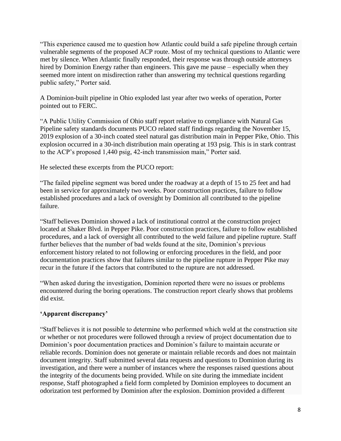"This experience caused me to question how Atlantic could build a safe pipeline through certain vulnerable segments of the proposed ACP route. Most of my technical questions to Atlantic were met by silence. When Atlantic finally responded, their response was through outside attorneys hired by Dominion Energy rather than engineers. This gave me pause – especially when they seemed more intent on misdirection rather than answering my technical questions regarding public safety," Porter said.

A Dominion-built pipeline in Ohio exploded last year after two weeks of operation, Porter pointed out to FERC.

"A Public Utility Commission of Ohio staff report relative to compliance with Natural Gas Pipeline safety standards documents PUCO related staff findings regarding the November 15, 2019 explosion of a 30-inch coated steel natural gas distribution main in Pepper Pike, Ohio. This explosion occurred in a 30-inch distribution main operating at 193 psig. This is in stark contrast to the ACP's proposed 1,440 psig, 42-inch transmission main," Porter said.

He selected these excerpts from the PUCO report:

"The failed pipeline segment was bored under the roadway at a depth of 15 to 25 feet and had been in service for approximately two weeks. Poor construction practices, failure to follow established procedures and a lack of oversight by Dominion all contributed to the pipeline failure.

"Staff believes Dominion showed a lack of institutional control at the construction project located at Shaker Blvd. in Pepper Pike. Poor construction practices, failure to follow established procedures, and a lack of oversight all contributed to the weld failure and pipeline rupture. Staff further believes that the number of bad welds found at the site, Dominion's previous enforcement history related to not following or enforcing procedures in the field, and poor documentation practices show that failures similar to the pipeline rupture in Pepper Pike may recur in the future if the factors that contributed to the rupture are not addressed.

"When asked during the investigation, Dominion reported there were no issues or problems encountered during the boring operations. The construction report clearly shows that problems did exist.

# **'Apparent discrepancy'**

"Staff believes it is not possible to determine who performed which weld at the construction site or whether or not procedures were followed through a review of project documentation due to Dominion's poor documentation practices and Dominion's failure to maintain accurate or reliable records. Dominion does not generate or maintain reliable records and does not maintain document integrity. Staff submitted several data requests and questions to Dominion during its investigation, and there were a number of instances where the responses raised questions about the integrity of the documents being provided. While on site during the immediate incident response, Staff photographed a field form completed by Dominion employees to document an odorization test performed by Dominion after the explosion. Dominion provided a different